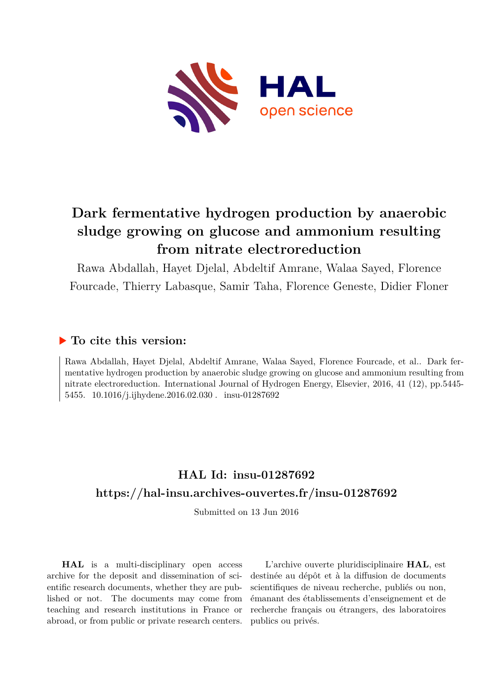

# **Dark fermentative hydrogen production by anaerobic sludge growing on glucose and ammonium resulting from nitrate electroreduction**

Rawa Abdallah, Hayet Djelal, Abdeltif Amrane, Walaa Sayed, Florence Fourcade, Thierry Labasque, Samir Taha, Florence Geneste, Didier Floner

### **To cite this version:**

Rawa Abdallah, Hayet Djelal, Abdeltif Amrane, Walaa Sayed, Florence Fourcade, et al.. Dark fermentative hydrogen production by anaerobic sludge growing on glucose and ammonium resulting from nitrate electroreduction. International Journal of Hydrogen Energy, Elsevier, 2016, 41 (12), pp.5445- 5455. 10.1016/j.ijhydene.2016.02.030 . insu-01287692

## **HAL Id: insu-01287692 <https://hal-insu.archives-ouvertes.fr/insu-01287692>**

Submitted on 13 Jun 2016

**HAL** is a multi-disciplinary open access archive for the deposit and dissemination of scientific research documents, whether they are published or not. The documents may come from teaching and research institutions in France or abroad, or from public or private research centers.

L'archive ouverte pluridisciplinaire **HAL**, est destinée au dépôt et à la diffusion de documents scientifiques de niveau recherche, publiés ou non, émanant des établissements d'enseignement et de recherche français ou étrangers, des laboratoires publics ou privés.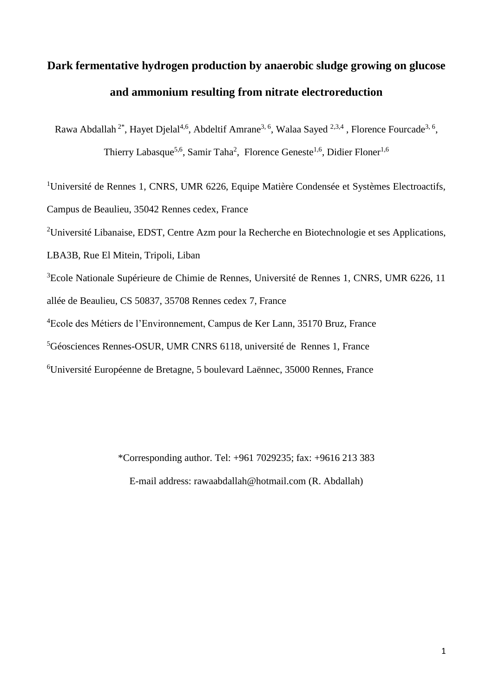# **Dark fermentative hydrogen production by anaerobic sludge growing on glucose and ammonium resulting from nitrate electroreduction**

Rawa Abdallah<sup>2\*</sup>, Hayet Djelal<sup>4,6</sup>, Abdeltif Amrane<sup>3, 6</sup>, Walaa Sayed <sup>2,3,4</sup>, Florence Fourcade<sup>3, 6</sup>,

Thierry Labasque<sup>5,6</sup>, Samir Taha<sup>2</sup>, Florence Geneste<sup>1,6</sup>, Didier Floner<sup>1,6</sup>

<sup>1</sup>Université de Rennes 1, CNRS, UMR 6226, Equipe Matière Condensée et Systèmes Electroactifs,

Campus de Beaulieu, 35042 Rennes cedex, France

<sup>2</sup>Université Libanaise, EDST, Centre Azm pour la Recherche en Biotechnologie et ses Applications,

LBA3B, Rue El Mitein, Tripoli, Liban

<sup>3</sup>Ecole Nationale Supérieure de Chimie de Rennes, Université de Rennes 1, CNRS, UMR 6226, 11 allée de Beaulieu, CS 50837, 35708 Rennes cedex 7, France

<sup>4</sup>Ecole des Métiers de l'Environnement, Campus de Ker Lann, 35170 Bruz, France

<sup>5</sup>Géosciences Rennes-OSUR, UMR CNRS 6118, université de Rennes 1, France

<sup>6</sup>Université Européenne de Bretagne, 5 boulevard Laënnec, 35000 Rennes, France

\*Corresponding author. Tel: +961 7029235; fax: +9616 213 383

E-mail address: rawaabdallah@hotmail.com (R. Abdallah)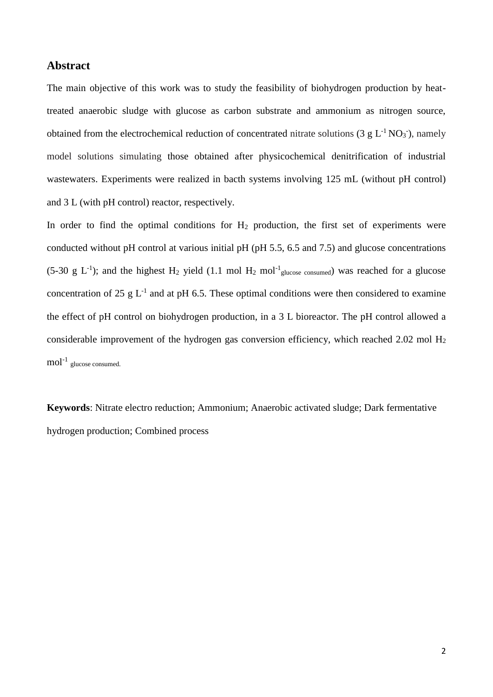#### **Abstract**

The main objective of this work was to study the feasibility of biohydrogen production by heattreated anaerobic sludge with glucose as carbon substrate and ammonium as nitrogen source, obtained from the electrochemical reduction of concentrated nitrate solutions (3  $g L^{-1} NO<sub>3</sub>$ ), namely model solutions simulating those obtained after physicochemical denitrification of industrial wastewaters. Experiments were realized in bacth systems involving 125 mL (without pH control) and 3 L (with pH control) reactor, respectively.

In order to find the optimal conditions for H<sub>2</sub> production, the first set of experiments were conducted without pH control at various initial pH (pH 5.5, 6.5 and 7.5) and glucose concentrations (5-30 g L<sup>-1</sup>); and the highest H<sub>2</sub> yield (1.1 mol H<sub>2</sub> mol<sup>-1</sup><sub>glucose consumed</sub>) was reached for a glucose concentration of 25  $g L^{-1}$  and at pH 6.5. These optimal conditions were then considered to examine the effect of pH control on biohydrogen production, in a 3 L bioreactor. The pH control allowed a considerable improvement of the hydrogen gas conversion efficiency, which reached 2.02 mol H<sup>2</sup>  $\text{mol}^{-1}$  glucose consumed.

**Keywords**: Nitrate electro reduction; Ammonium; Anaerobic activated sludge; Dark fermentative hydrogen production; Combined process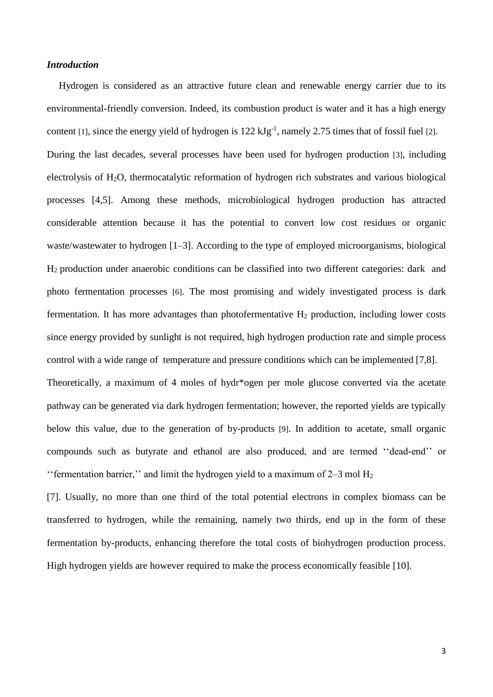#### *Introduction*

Hydrogen is considered as an attractive future clean and renewable energy carrier due to its environmental-friendly conversion. Indeed, its combustion product is water and it has a high energy content [1], since the energy yield of hydrogen is  $122 \text{ kJg}^{-1}$ , namely 2.75 times that of fossil fuel [2]. During the last decades, several processes have been used for hydrogen production [3], including electrolysis of H2O, thermocatalytic reformation of hydrogen rich substrates and various biological processes [4,5]. Among these methods, microbiological hydrogen production has attracted considerable attention because it has the potential to convert low cost residues or organic waste/wastewater to hydrogen [1–3]. According to the type of employed microorganisms, biological H2 production under anaerobic conditions can be classified into two different categories: dark and photo fermentation processes [6]. The most promising and widely investigated process is dark fermentation. It has more advantages than photofermentative  $H_2$  production, including lower costs since energy provided by sunlight is not required, high hydrogen production rate and simple process control with a wide range of temperature and pressure conditions which can be implemented [7,8]. Theoretically, a maximum of 4 moles of hydr\*ogen per mole glucose converted via the acetate pathway can be generated via dark hydrogen fermentation; however, the reported yields are typically

below this value, due to the generation of by-products [9]. In addition to acetate, small organic compounds such as butyrate and ethanol are also produced, and are termed ''dead-end'' or "'fermentation barrier," and limit the hydrogen yield to a maximum of  $2-3$  mol  $H_2$ 

[7]. Usually, no more than one third of the total potential electrons in complex biomass can be transferred to hydrogen, while the remaining, namely two thirds, end up in the form of these fermentation by-products, enhancing therefore the total costs of biohydrogen production process. High hydrogen yields are however required to make the process economically feasible [10].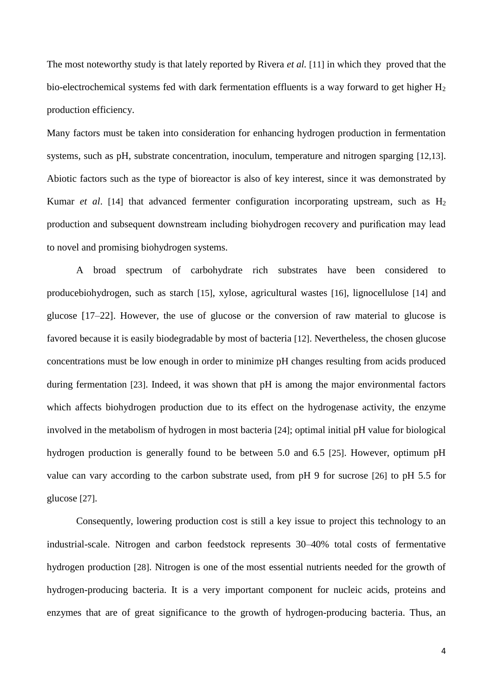The most noteworthy study is that lately reported by Rivera *et al.* [11] in which they proved that the bio-electrochemical systems fed with dark fermentation effluents is a way forward to get higher H<sub>2</sub> production efficiency.

Many factors must be taken into consideration for enhancing hydrogen production in fermentation systems, such as pH, substrate concentration, inoculum, temperature and nitrogen sparging [12,13]. Abiotic factors such as the type of bioreactor is also of key interest, since it was demonstrated by Kumar *et al.* [14] that advanced fermenter configuration incorporating upstream, such as H<sub>2</sub> production and subsequent downstream including biohydrogen recovery and purification may lead to novel and promising biohydrogen systems.

A broad spectrum of carbohydrate rich substrates have been considered to producebiohydrogen, such as starch [15], xylose, agricultural wastes [16], lignocellulose [14] and glucose [17–22]. However, the use of glucose or the conversion of raw material to glucose is favored because it is easily biodegradable by most of bacteria [12]. Nevertheless, the chosen glucose concentrations must be low enough in order to minimize pH changes resulting from acids produced during fermentation [23]. Indeed, it was shown that pH is among the major environmental factors which affects biohydrogen production due to its effect on the hydrogenase activity, the enzyme involved in the metabolism of hydrogen in most bacteria [24]; optimal initial pH value for biological hydrogen production is generally found to be between 5.0 and 6.5 [25]. However, optimum pH value can vary according to the carbon substrate used, from pH 9 for sucrose [26] to pH 5.5 for glucose [27].

Consequently, lowering production cost is still a key issue to project this technology to an industrial-scale. Nitrogen and carbon feedstock represents 30–40% total costs of fermentative hydrogen production [28]. Nitrogen is one of the most essential nutrients needed for the growth of hydrogen-producing bacteria. It is a very important component for nucleic acids, proteins and enzymes that are of great significance to the growth of hydrogen-producing bacteria. Thus, an

4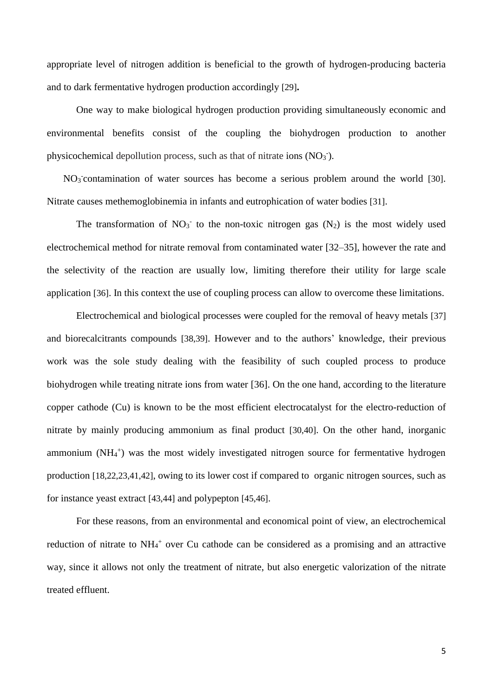appropriate level of nitrogen addition is beneficial to the growth of hydrogen-producing bacteria and to dark fermentative hydrogen production accordingly [29]**.**

One way to make biological hydrogen production providing simultaneously economic and environmental benefits consist of the coupling the biohydrogen production to another physicochemical depollution process, such as that of nitrate ions  $(NO<sub>3</sub>)$ .

NO<sub>3</sub> contamination of water sources has become a serious problem around the world [30]. Nitrate causes methemoglobinemia in infants and eutrophication of water bodies [31].

The transformation of  $NO<sub>3</sub>$  to the non-toxic nitrogen gas  $(N<sub>2</sub>)$  is the most widely used electrochemical method for nitrate removal from contaminated water [32–35], however the rate and the selectivity of the reaction are usually low, limiting therefore their utility for large scale application [36]. In this context the use of coupling process can allow to overcome these limitations.

Electrochemical and biological processes were coupled for the removal of heavy metals [37] and biorecalcitrants compounds [38,39]. However and to the authors' knowledge, their previous work was the sole study dealing with the feasibility of such coupled process to produce biohydrogen while treating nitrate ions from water [36]. On the one hand, according to the literature copper cathode (Cu) is known to be the most efficient electrocatalyst for the electro-reduction of nitrate by mainly producing ammonium as final product [30,40]. On the other hand, inorganic ammonium (NH<sub>4</sub><sup>+</sup>) was the most widely investigated nitrogen source for fermentative hydrogen production [18,22,23,41,42], owing to its lower cost if compared to organic nitrogen sources, such as for instance yeast extract [43,44] and polypepton [45,46].

For these reasons, from an environmental and economical point of view, an electrochemical reduction of nitrate to NH<sub>4</sub><sup>+</sup> over Cu cathode can be considered as a promising and an attractive way, since it allows not only the treatment of nitrate, but also energetic valorization of the nitrate treated effluent.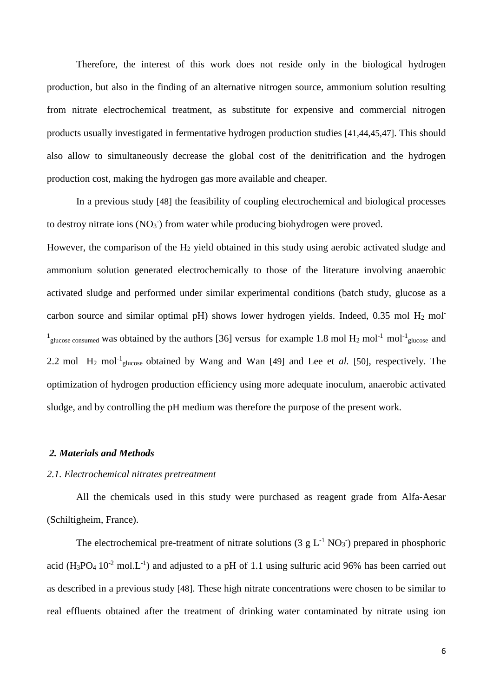Therefore, the interest of this work does not reside only in the biological hydrogen production, but also in the finding of an alternative nitrogen source, ammonium solution resulting from nitrate electrochemical treatment, as substitute for expensive and commercial nitrogen products usually investigated in fermentative hydrogen production studies [41,44,45,47]. This should also allow to simultaneously decrease the global cost of the denitrification and the hydrogen production cost, making the hydrogen gas more available and cheaper.

In a previous study [48] the feasibility of coupling electrochemical and biological processes to destroy nitrate ions  $(NO<sub>3</sub>.)$  from water while producing biohydrogen were proved.

However, the comparison of the  $H_2$  yield obtained in this study using aerobic activated sludge and ammonium solution generated electrochemically to those of the literature involving anaerobic activated sludge and performed under similar experimental conditions (batch study, glucose as a carbon source and similar optimal pH) shows lower hydrogen yields. Indeed, 0.35 mol  $H_2$  mol-<sup>1</sup><sub>glucose consumed</sub> was obtained by the authors [36] versus for example 1.8 mol H<sub>2</sub> mol<sup>-1</sup> mol<sup>-1</sup><sub>glucose</sub> and 2.2 mol  $H_2$  mol<sup>-1</sup><sub>glucose</sub> obtained by Wang and Wan [49] and Lee et *al.* [50], respectively. The optimization of hydrogen production efficiency using more adequate inoculum, anaerobic activated sludge, and by controlling the pH medium was therefore the purpose of the present work.

#### *2. [Materials and Methods](http://writing2.richmond.edu/training/project/biology/matmeth.html)*

#### *2.1. Electrochemical nitrates pretreatment*

All the chemicals used in this study were purchased as reagent grade from Alfa-Aesar (Schiltigheim, France).

The electrochemical pre-treatment of nitrate solutions (3  $g L^{-1} NO<sub>3</sub>$ ) prepared in phosphoric acid  $(H_3PO_4 10^{-2}$  mol. L<sup>-1</sup>) and adjusted to a pH of 1.1 using sulfuric acid 96% has been carried out as described in a previous study [48]. These high nitrate concentrations were chosen to be similar to real effluents obtained after the treatment of drinking water contaminated by nitrate using ion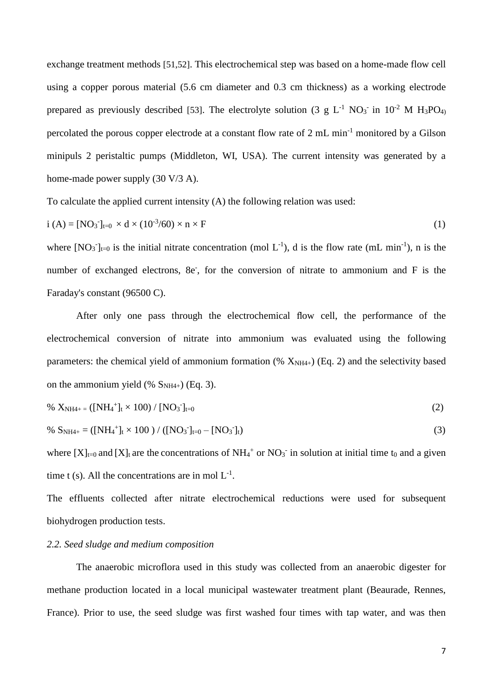exchange treatment methods [51,52]. This electrochemical step was based on a home-made flow cell using a copper porous material (5.6 cm diameter and 0.3 cm thickness) as a working electrode prepared as previously described [53]. The electrolyte solution (3 g L<sup>-1</sup> NO<sub>3</sub> in 10<sup>-2</sup> M H<sub>3</sub>PO<sub>4)</sub> percolated the porous copper electrode at a constant flow rate of 2 mL min-1 monitored by a Gilson minipuls 2 peristaltic pumps (Middleton, WI, USA). The current intensity was generated by a home-made power supply (30 V/3 A).

To calculate the applied current intensity (A) the following relation was used:

$$
i (A) = [NO3]t=0 × d × (10-3/60) × n × F
$$
 (1)

where  $[NO_3]_{t=0}$  is the initial nitrate concentration (mol L<sup>-1</sup>), d is the flow rate (mL min<sup>-1</sup>), n is the number of exchanged electrons, 8e<sup>-</sup>, for the conversion of nitrate to ammonium and F is the Faraday's constant (96500 C).

After only one pass through the electrochemical flow cell, the performance of the electrochemical conversion of nitrate into ammonium was evaluated using the following parameters: the chemical yield of ammonium formation (%  $X_{NH4+}$ ) (Eq. 2) and the selectivity based on the ammonium yield (%  $S<sub>NH4+</sub>$ ) (Eq. 3).

% 
$$
X_{NH4+} = ([NH_4^+]t \times 100) / [NO_3^-]_{t=0}
$$
 (2)

% S<sub>NH4+</sub> = ([NH<sub>4</sub><sup>+</sup>]<sub>t</sub> × 100) / ([NO<sub>3</sub><sup>-</sup>]<sub>t=0</sub> - [NO<sub>3</sub><sup>-</sup>]<sub>t</sub>) 
$$
(3)
$$

where  $[X]_{t=0}$  and  $[X]_t$  are the concentrations of NH<sub>4</sub><sup>+</sup> or NO<sub>3</sub><sup>-</sup> in solution at initial time t<sub>0</sub> and a given time t (s). All the concentrations are in mol  $L^{-1}$ .

The effluents collected after nitrate electrochemical reductions were used for subsequent biohydrogen production tests.

#### *2.2. Seed sludge and medium composition*

The anaerobic microflora used in this study was collected from an anaerobic digester for methane production located in a local municipal wastewater treatment plant (Beaurade, Rennes, France). Prior to use, the seed sludge was first washed four times with tap water, and was then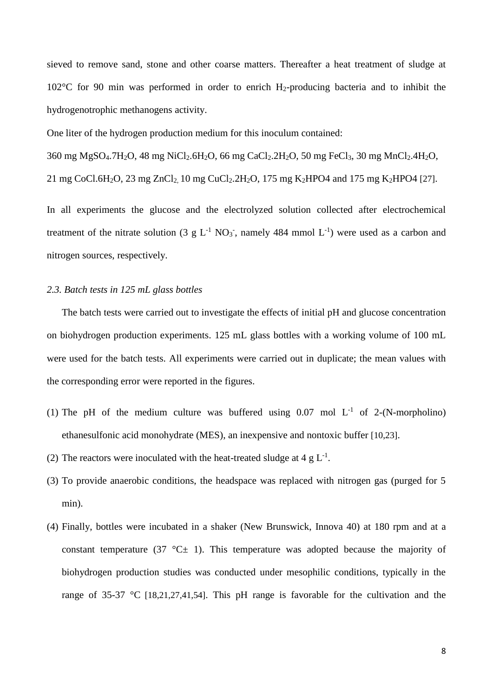sieved to remove sand, stone and other coarse matters. Thereafter a heat treatment of sludge at 102°C for 90 min was performed in order to enrich H2-producing bacteria and to inhibit the hydrogenotrophic methanogens activity.

One liter of the hydrogen production medium for this inoculum contained:

360 mg MgSO4.7H2O, 48 mg NiCl2.6H2O, 66 mg CaCl2.2H2O, 50 mg FeCl3, 30 mg MnCl2.4H2O, 21 mg CoCl.6H<sub>2</sub>O, 23 mg ZnCl<sub>2</sub>, 10 mg CuCl<sub>2</sub>.2H<sub>2</sub>O, 175 mg K<sub>2</sub>HPO4 and 175 mg K<sub>2</sub>HPO4 [27].

In all experiments the glucose and the electrolyzed solution collected after electrochemical treatment of the nitrate solution (3 g  $L^{-1}$  NO<sub>3</sub><sup>-</sup>, namely 484 mmol  $L^{-1}$ ) were used as a carbon and nitrogen sources, respectively.

#### *2.3. Batch tests in 125 mL glass bottles*

The batch tests were carried out to investigate the effects of initial pH and glucose concentration on biohydrogen production experiments. 125 mL glass bottles with a working volume of 100 mL were used for the batch tests. All experiments were carried out in duplicate; the mean values with the corresponding error were reported in the figures.

- (1) The pH of the medium culture was buffered using  $0.07$  mol  $L^{-1}$  of 2-(N-morpholino) ethanesulfonic acid monohydrate (MES), an inexpensive and nontoxic buffer [10,23].
- (2) The reactors were inoculated with the heat-treated sludge at 4 g  $L^{-1}$ .
- (3) To provide anaerobic conditions, the headspace was replaced with nitrogen gas (purged for 5 min).
- (4) Finally, bottles were incubated in a shaker (New Brunswick, Innova 40) at 180 rpm and at a constant temperature (37  $^{\circ}$ C $\pm$  1). This temperature was adopted because the majority of biohydrogen production studies was conducted under mesophilic conditions, typically in the range of 35-37 °C [18,21,27,41,54]. This pH range is favorable for the cultivation and the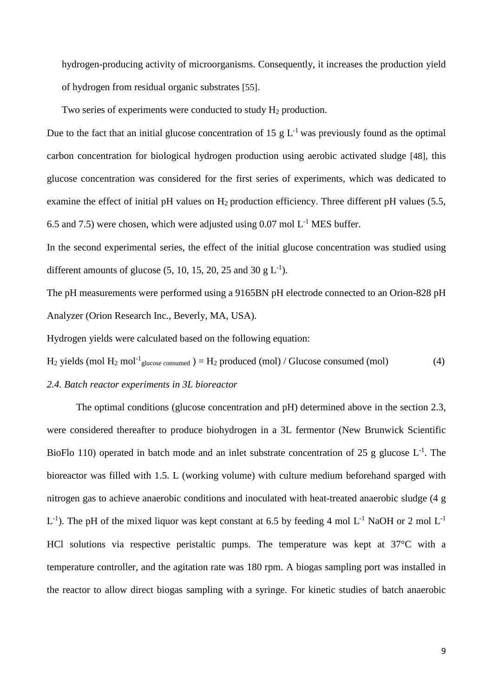hydrogen-producing activity of microorganisms. Consequently, it increases the production yield of hydrogen from residual organic substrates [55].

Two series of experiments were conducted to study  $H_2$  production.

Due to the fact that an initial glucose concentration of 15  $g L^{-1}$  was previously found as the optimal carbon concentration for biological hydrogen production using aerobic activated sludge [48], this glucose concentration was considered for the first series of experiments, which was dedicated to examine the effect of initial pH values on H<sub>2</sub> production efficiency. Three different pH values (5.5, 6.5 and 7.5) were chosen, which were adjusted using  $0.07$  mol  $L^{-1}$  MES buffer.

In the second experimental series, the effect of the initial glucose concentration was studied using different amounts of glucose  $(5, 10, 15, 20, 25,$  and  $30 \text{ g L}^{-1})$ .

The pH measurements were performed using a 9165BN pH electrode connected to an Orion-828 pH Analyzer (Orion Research Inc., Beverly, MA, USA).

Hydrogen yields were calculated based on the following equation:

 $H_2$  yields (mol  $H_2$  mol<sup>-1</sup><sub>glucose consumed</sub>) =  $H_2$  produced (mol) / Glucose consumed (mol) (4)

#### *2.4. Batch reactor experiments in 3L bioreactor*

The optimal conditions (glucose concentration and pH) determined above in the section 2.3, were considered thereafter to produce biohydrogen in a 3L fermentor (New Brunwick Scientific BioFlo 110) operated in batch mode and an inlet substrate concentration of 25 g glucose  $L^{-1}$ . The bioreactor was filled with 1.5. L (working volume) with culture medium beforehand sparged with nitrogen gas to achieve anaerobic conditions and inoculated with heat-treated anaerobic sludge (4 g  $L^{-1}$ ). The pH of the mixed liquor was kept constant at 6.5 by feeding 4 mol  $L^{-1}$  NaOH or 2 mol  $L^{-1}$ HCl solutions via respective peristaltic pumps. The temperature was kept at 37°C with a temperature controller, and the agitation rate was 180 rpm. A biogas sampling port was installed in the reactor to allow direct biogas sampling with a syringe. For kinetic studies of batch anaerobic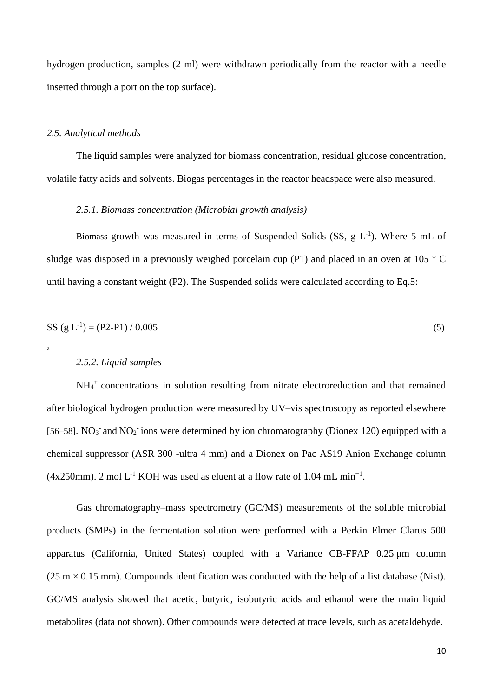hydrogen production, samples (2 ml) were withdrawn periodically from the reactor with a needle inserted through a port on the top surface).

#### *2.5. Analytical methods*

The liquid samples were analyzed for biomass concentration, residual glucose concentration, volatile fatty acids and solvents. Biogas percentages in the reactor headspace were also measured.

#### *2.5.1. Biomass concentration (Microbial growth analysis)*

Biomass growth was measured in terms of Suspended Solids (SS,  $g L^{-1}$ ). Where 5 mL of sludge was disposed in a previously weighed porcelain cup (P1) and placed in an oven at 105  $\degree$  C until having a constant weight (P2). The Suspended solids were calculated according to Eq.5:

$$
SS (g L-1) = (P2 - P1) / 0.005
$$
\n<sup>(5)</sup>

 $\overline{2}$ 

#### *2.5.2. Liquid samples*

NH<sup>4</sup> + concentrations in solution resulting from nitrate electroreduction and that remained after biological hydrogen production were measured by UV–vis spectroscopy as reported elsewhere [56–58]. NO<sub>3</sub> and NO<sub>2</sub> ions were determined by ion chromatography (Dionex 120) equipped with a chemical suppressor (ASR 300 -ultra 4 mm) and a Dionex on Pac AS19 Anion Exchange column  $(4x250mm)$ . 2 mol L<sup>-1</sup> KOH was used as eluent at a flow rate of 1.04 mL min<sup>-1</sup>.

Gas chromatography–mass spectrometry (GC/MS) measurements of the soluble microbial products (SMPs) in the fermentation solution were performed with a Perkin Elmer Clarus 500 apparatus (California, United States) coupled with a Variance CB-FFAP 0.25 μm column  $(25 \text{ m} \times 0.15 \text{ mm})$ . Compounds identification was conducted with the help of a list database (Nist). GC/MS analysis showed that acetic, butyric, isobutyric acids and ethanol were the main liquid metabolites (data not shown). Other compounds were detected at trace levels, such as acetaldehyde.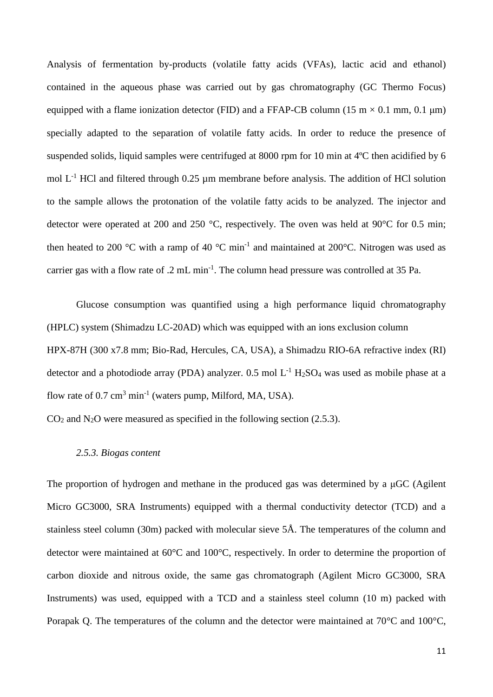Analysis of fermentation by-products (volatile fatty acids (VFAs), lactic acid and ethanol) contained in the aqueous phase was carried out by gas chromatography (GC Thermo Focus) equipped with a flame ionization detector (FID) and a FFAP-CB column (15 m  $\times$  0.1 mm, 0.1 µm) specially adapted to the separation of volatile fatty acids. In order to reduce the presence of suspended solids, liquid samples were centrifuged at 8000 rpm for 10 min at 4ºC then acidified by 6 mol  $L^{-1}$  HCl and filtered through 0.25 µm membrane before analysis. The addition of HCl solution to the sample allows the protonation of the volatile fatty acids to be analyzed. The injector and detector were operated at 200 and 250 °C, respectively. The oven was held at 90°C for 0.5 min; then heated to 200 °C with a ramp of 40 °C min<sup>-1</sup> and maintained at 200 °C. Nitrogen was used as carrier gas with a flow rate of .2  $mL min^{-1}$ . The column head pressure was controlled at 35 Pa.

Glucose consumption was quantified using a high performance liquid chromatography (HPLC) system (Shimadzu LC-20AD) which was equipped with an ions exclusion column HPX-87H (300 x7.8 mm; Bio-Rad, Hercules, CA, USA), a Shimadzu RIO-6A refractive index (RI) detector and a photodiode array (PDA) analyzer. 0.5 mol  $L^{-1}$  H<sub>2</sub>SO<sub>4</sub> was used as mobile phase at a flow rate of  $0.7 \text{ cm}^3 \text{ min}^{-1}$  (waters pump, Milford, MA, USA).

 $CO<sub>2</sub>$  and N<sub>2</sub>O were measured as specified in the following section (2.5.3).

#### *2.5.3. Biogas content*

The proportion of hydrogen and methane in the produced gas was determined by a μGC (Agilent Micro GC3000, SRA Instruments) equipped with a thermal conductivity detector (TCD) and a stainless steel column (30m) packed with molecular sieve 5Å. The temperatures of the column and detector were maintained at 60°C and 100°C, respectively. In order to determine the proportion of carbon dioxide and nitrous oxide, the same gas chromatograph (Agilent Micro GC3000, SRA Instruments) was used, equipped with a TCD and a stainless steel column (10 m) packed with Porapak Q. The temperatures of the column and the detector were maintained at 70°C and 100°C,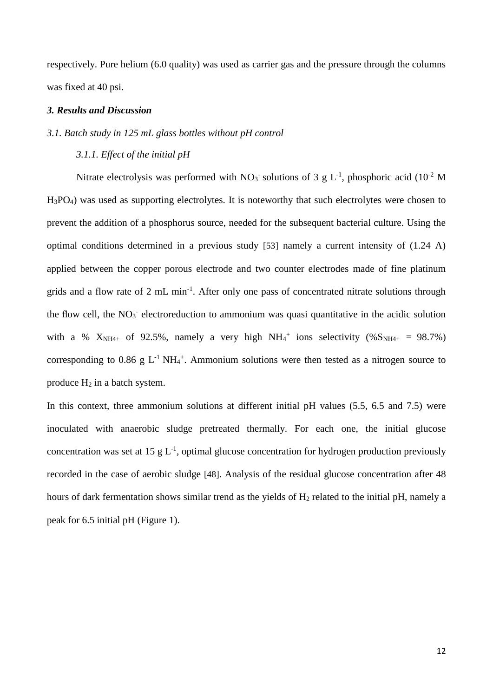respectively. Pure helium (6.0 quality) was used as carrier gas and the pressure through the columns was fixed at 40 psi.

#### *3. Results and Discussion*

#### *3.1. Batch study in 125 mL glass bottles without pH control*

#### *3.1.1. Effect of the initial pH*

Nitrate electrolysis was performed with  $NO<sub>3</sub>$  solutions of 3 g L<sup>-1</sup>, phosphoric acid (10<sup>-2</sup> M H3PO4) was used as supporting electrolytes. It is noteworthy that such electrolytes were chosen to prevent the addition of a phosphorus source, needed for the subsequent bacterial culture. Using the optimal conditions determined in a previous study [53] namely a current intensity of (1.24 A) applied between the copper porous electrode and two counter electrodes made of fine platinum grids and a flow rate of 2 mL min<sup>-1</sup>. After only one pass of concentrated nitrate solutions through the flow cell, the NO<sub>3</sub><sup>-</sup> electroreduction to ammonium was quasi quantitative in the acidic solution with a %  $X_{NH4+}$  of 92.5%, namely a very high NH<sub>4</sub><sup>+</sup> ions selectivity (% $S_{NH4+}$  = 98.7%) corresponding to 0.86 g  $L^{-1}$  NH<sub>4</sub><sup>+</sup>. Ammonium solutions were then tested as a nitrogen source to produce  $H_2$  in a batch system.

In this context, three ammonium solutions at different initial pH values (5.5, 6.5 and 7.5) were inoculated with anaerobic sludge pretreated thermally. For each one, the initial glucose concentration was set at 15  $g L^{-1}$ , optimal glucose concentration for hydrogen production previously recorded in the case of aerobic sludge [48]. Analysis of the residual glucose concentration after 48 hours of dark fermentation shows similar trend as the yields of  $H_2$  related to the initial pH, namely a peak for 6.5 initial pH (Figure 1).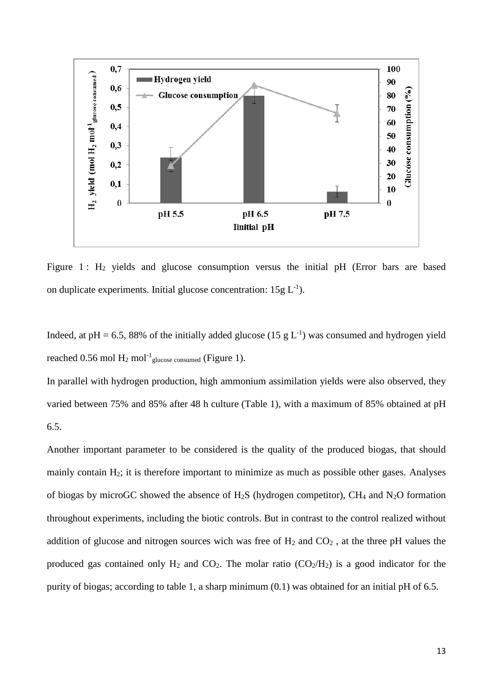

Figure 1 :  $H_2$  yields and glucose consumption versus the initial pH (Error bars are based on duplicate experiments. Initial glucose concentration:  $15g L^{-1}$ ).

Indeed, at pH = 6.5, 88% of the initially added glucose (15 g  $L^{-1}$ ) was consumed and hydrogen yield reached 0.56 mol  $H_2$  mol<sup>-1</sup> glucose consumed (Figure 1).

In parallel with hydrogen production, high ammonium assimilation yields were also observed, they varied between 75% and 85% after 48 h culture (Table 1), with a maximum of 85% obtained at pH 6.5.

Another important parameter to be considered is the quality of the produced biogas, that should mainly contain H2; it is therefore important to minimize as much as possible other gases. Analyses of biogas by microGC showed the absence of  $H_2S$  (hydrogen competitor), CH<sub>4</sub> and N<sub>2</sub>O formation throughout experiments, including the biotic controls. But in contrast to the control realized without addition of glucose and nitrogen sources wich was free of  $H_2$  and  $CO_2$ , at the three pH values the produced gas contained only  $H_2$  and  $CO_2$ . The molar ratio  $(CO_2/H_2)$  is a good indicator for the purity of biogas; according to table 1, a sharp minimum (0.1) was obtained for an initial pH of 6.5.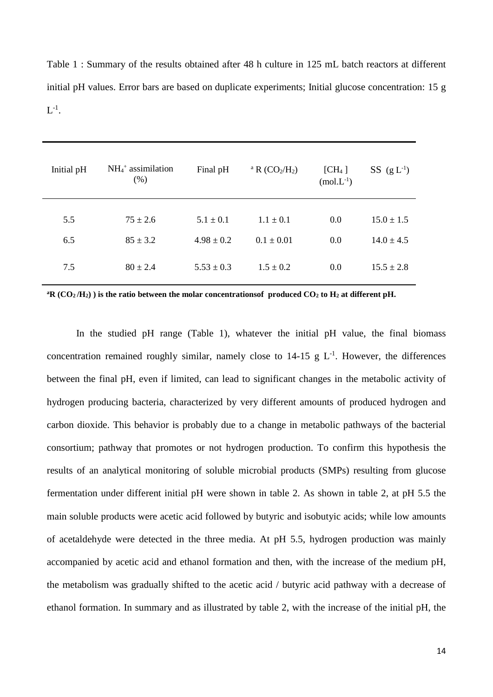Table 1 : Summary of the results obtained after 48 h culture in 125 mL batch reactors at different initial pH values. Error bars are based on duplicate experiments; Initial glucose concentration: 15 g  $\mathrm{L}^\text{-1}.$ 

| Initial pH | $NH4+$ assimilation<br>(% ) | Final pH       | <sup>a</sup> R $(CO_2/H_2)$ | [CH <sub>4</sub> ]<br>$(mol.L^{-1})$ | $SS$ (g L <sup>-1</sup> ) |
|------------|-----------------------------|----------------|-----------------------------|--------------------------------------|---------------------------|
|            |                             |                |                             |                                      | $15.0 \pm 1.5$            |
| 6.5        | $85 \pm 3.2$                | $4.98 \pm 0.2$ | $0.1 \pm 0.01$              | 0.0                                  | $14.0 \pm 4.5$            |
| 7.5        | $80 \pm 2.4$                | $5.53 \pm 0.3$ | $1.5 \pm 0.2$               | 0.0                                  | $15.5 \pm 2.8$            |
| 5.5        | $75 \pm 2.6$                | $5.1 \pm 0.1$  | $1.1 \pm 0.1$               | 0.0                                  |                           |

 $^{\text{a}}$ **R** ( $CO_2$ /H<sub>2</sub>)) is the ratio between the molar concentrationsof produced  $CO_2$  to  $H_2$  at different pH.

In the studied pH range (Table 1), whatever the initial pH value, the final biomass concentration remained roughly similar, namely close to  $14-15$  g L<sup>-1</sup>. However, the differences between the final pH, even if limited, can lead to significant changes in the metabolic activity of hydrogen producing bacteria, characterized by very different amounts of produced hydrogen and carbon dioxide. This behavior is probably due to a change in metabolic pathways of the bacterial consortium; pathway that promotes or not hydrogen production. To confirm this hypothesis the results of an analytical monitoring of soluble microbial products (SMPs) resulting from glucose fermentation under different initial pH were shown in table 2. As shown in table 2, at pH 5.5 the main soluble products were acetic acid followed by butyric and isobutyic acids; while low amounts of acetaldehyde were detected in the three media. At pH 5.5, hydrogen production was mainly accompanied by acetic acid and ethanol formation and then, with the increase of the medium pH, the metabolism was gradually shifted to the acetic acid / butyric acid pathway with a decrease of ethanol formation. In summary and as illustrated by table 2, with the increase of the initial pH, the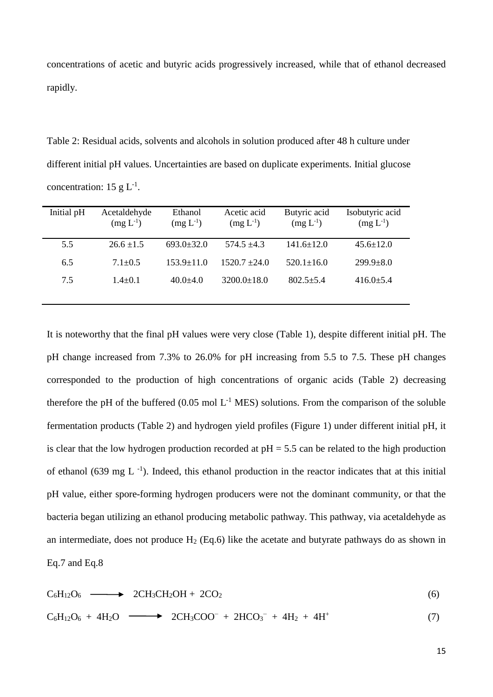concentrations of acetic and butyric acids progressively increased, while that of ethanol decreased rapidly.

Table 2: Residual acids, solvents and alcohols in solution produced after 48 h culture under different initial pH values. Uncertainties are based on duplicate experiments. Initial glucose concentration: 15 g  $L^{-1}$ .

| Initial pH | Acetaldehyde<br>$(mg L^{-1})$ | Ethanol<br>$(mg L^{-1})$ | Acetic acid<br>$(mg L^{-1})$ | Butyric acid<br>$(mg L^{-1})$ | Isobutyric acid<br>$(mg L^{-1})$ |
|------------|-------------------------------|--------------------------|------------------------------|-------------------------------|----------------------------------|
| 5.5        | $26.6 \pm 1.5$                | $693.0 \pm 32.0$         | $574.5 \pm 4.3$              | $141.6 \pm 12.0$              | $45.6 \pm 12.0$                  |
| 6.5        | $7.1 \pm 0.5$                 | $153.9 + 11.0$           | $1520.7 + 24.0$              | $520.1 \pm 16.0$              | $299.9 + 8.0$                    |
| 7.5        | $1.4 \pm 0.1$                 | $40.0 + 4.0$             | $3200.0 \pm 18.0$            | $802.5 + 5.4$                 | $416.0 \pm 5.4$                  |

It is noteworthy that the final pH values were very close (Table 1), despite different initial pH. The pH change increased from 7.3% to 26.0% for pH increasing from 5.5 to 7.5. These pH changes corresponded to the production of high concentrations of organic acids (Table 2) decreasing therefore the pH of the buffered  $(0.05 \text{ mol L}^{-1} \text{ MES})$  solutions. From the comparison of the soluble fermentation products (Table 2) and hydrogen yield profiles (Figure 1) under different initial pH, it is clear that the low hydrogen production recorded at  $pH = 5.5$  can be related to the high production of ethanol (639 mg  $L^{-1}$ ). Indeed, this ethanol production in the reactor indicates that at this initial pH value, either spore-forming hydrogen producers were not the dominant community, or that the bacteria began utilizing an ethanol producing metabolic pathway. This pathway, via acetaldehyde as an intermediate, does not produce  $H_2$  (Eq.6) like the acetate and butyrate pathways do as shown in Eq.7 and Eq.8

$$
C_6H_{12}O_6 \longrightarrow 2CH_3CH_2OH + 2CO_2 \tag{6}
$$

$$
C_6H_{12}O_6 + 4H_2O \longrightarrow 2CH_3COO^- + 2HCO_3^- + 4H_2 + 4H^+ \tag{7}
$$

15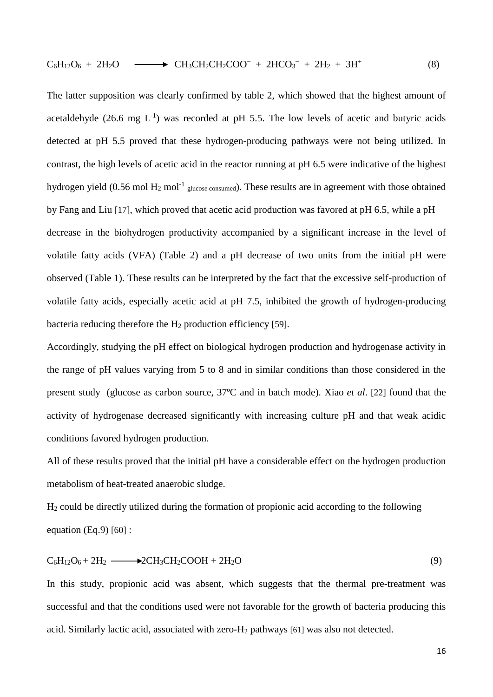$$
C_6H_{12}O_6 + 2H_2O \longrightarrow CH_3CH_2CH_2COO^- + 2HCO_3^- + 2H_2 + 3H^+ \tag{8}
$$

The latter supposition was clearly confirmed by table 2, which showed that the highest amount of acetaldehyde  $(26.6 \text{ mg } L^{-1})$  was recorded at pH 5.5. The low levels of acetic and butyric acids detected at pH 5.5 proved that these hydrogen-producing pathways were not being utilized. In contrast, the high levels of acetic acid in the reactor running at pH 6.5 were indicative of the highest hydrogen yield (0.56 mol  $H_2$  mol<sup>-1</sup> glucose consumed). These results are in agreement with those obtained by Fang and Liu [17], which proved that acetic acid production was favored at pH 6.5, while a pH decrease in the biohydrogen productivity accompanied by a significant increase in the level of volatile fatty acids (VFA) (Table 2) and a pH decrease of two units from the initial pH were observed (Table 1). These results can be interpreted by the fact that the excessive self-production of volatile fatty acids, especially acetic acid at pH 7.5, inhibited the growth of hydrogen-producing bacteria reducing therefore the  $H_2$  production efficiency [59].

Accordingly, studying the pH effect on biological hydrogen production and hydrogenase activity in the range of pH values varying from 5 to 8 and in similar conditions than those considered in the present study (glucose as carbon source, 37ºC and in batch mode). Xiao *et al*. [22] found that the activity of hydrogenase decreased significantly with increasing culture pH and that weak acidic conditions favored hydrogen production.

All of these results proved that the initial pH have a considerable effect on the hydrogen production metabolism of heat-treated anaerobic sludge.

H<sup>2</sup> could be directly utilized during the formation of propionic acid according to the following equation  $(Eq.9)$  [60] :

$$
C_6H_{12}O_6 + 2H_2 \longrightarrow 2CH_3CH_2COOH + 2H_2O
$$
\n(9)

In this study, propionic acid was absent, which suggests that the thermal pre-treatment was successful and that the conditions used were not favorable for the growth of bacteria producing this acid. Similarly lactic acid, associated with zero- $H_2$  pathways [61] was also not detected.

16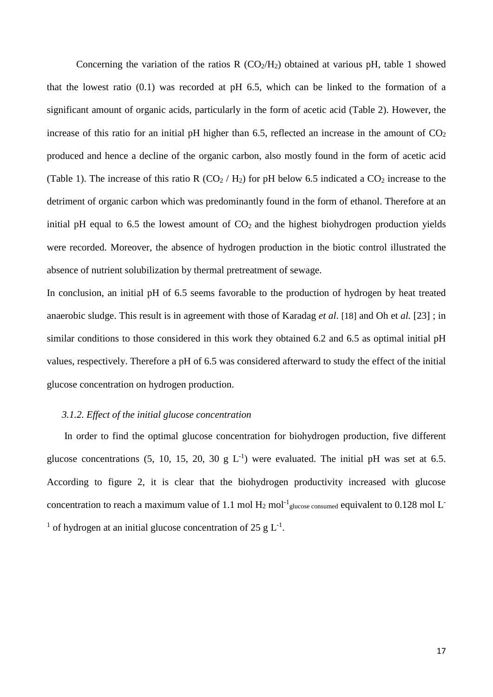Concerning the variation of the ratios R  $(CO_2/H_2)$  obtained at various pH, table 1 showed that the lowest ratio (0.1) was recorded at pH 6.5, which can be linked to the formation of a significant amount of organic acids, particularly in the form of acetic acid (Table 2). However, the increase of this ratio for an initial pH higher than 6.5, reflected an increase in the amount of  $CO<sub>2</sub>$ produced and hence a decline of the organic carbon, also mostly found in the form of acetic acid (Table 1). The increase of this ratio R (CO<sub>2</sub> / H<sub>2</sub>) for pH below 6.5 indicated a CO<sub>2</sub> increase to the detriment of organic carbon which was predominantly found in the form of ethanol. Therefore at an initial pH equal to 6.5 the lowest amount of  $CO<sub>2</sub>$  and the highest biohydrogen production yields were recorded. Moreover, the absence of hydrogen production in the biotic control illustrated the absence of nutrient solubilization by thermal pretreatment of sewage.

In conclusion, an initial pH of 6.5 seems favorable to the production of hydrogen by heat treated anaerobic sludge. This result is in agreement with those of Karadag *et al*. [18] and Oh et *al.* [23] ; in similar conditions to those considered in this work they obtained 6.2 and 6.5 as optimal initial pH values, respectively. Therefore a pH of 6.5 was considered afterward to study the effect of the initial glucose concentration on hydrogen production.

#### *3.1.2. Effect of the initial glucose concentration*

In order to find the optimal glucose concentration for biohydrogen production, five different glucose concentrations  $(5, 10, 15, 20, 30 \text{ g L}^{-1})$  were evaluated. The initial pH was set at 6.5. According to figure 2, it is clear that the biohydrogen productivity increased with glucose concentration to reach a maximum value of 1.1 mol  $H_2$  mol<sup>-1</sup> glucose consumed equivalent to 0.128 mol L<sup>-</sup> <sup>1</sup> of hydrogen at an initial glucose concentration of 25 g  $L^{-1}$ .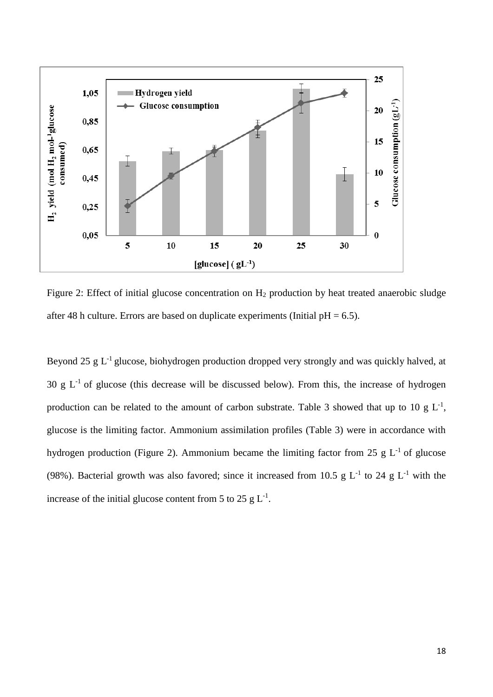

Figure 2: Effect of initial glucose concentration on  $H_2$  production by heat treated anaerobic sludge after 48 h culture. Errors are based on duplicate experiments (Initial  $pH = 6.5$ ).

Beyond 25  $g L^{-1}$  glucose, biohydrogen production dropped very strongly and was quickly halved, at 30 g  $L^{-1}$  of glucose (this decrease will be discussed below). From this, the increase of hydrogen production can be related to the amount of carbon substrate. Table 3 showed that up to 10 g  $L^{-1}$ , glucose is the limiting factor. Ammonium assimilation profiles (Table 3) were in accordance with hydrogen production (Figure 2). Ammonium became the limiting factor from 25 g  $L^{-1}$  of glucose (98%). Bacterial growth was also favored; since it increased from 10.5 g  $L^{-1}$  to 24 g  $L^{-1}$  with the increase of the initial glucose content from 5 to 25 g  $L^{-1}$ .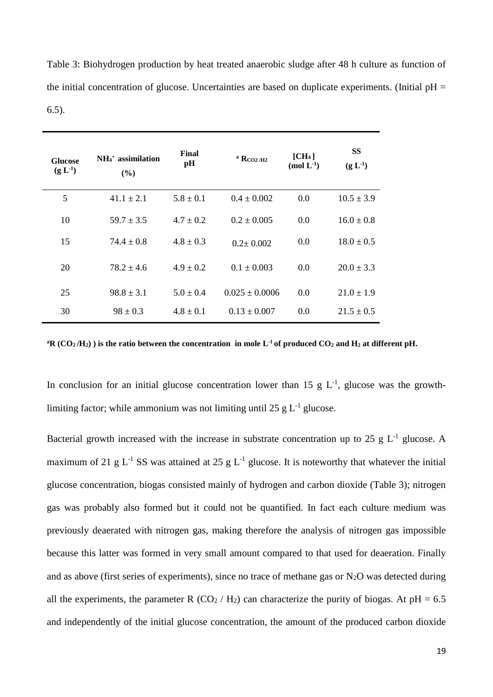| Table 3: Biohydrogen production by heat treated anaerobic sludge after 48 h culture as function of      |
|---------------------------------------------------------------------------------------------------------|
| the initial concentration of glucose. Uncertainties are based on duplicate experiments. (Initial $pH =$ |
| $(6.5)$ .                                                                                               |

| <b>Glucose</b><br>$(g L^{-1})$ | $NH4+$ assimilation<br>$($ %) | Final<br>pH   | $^{\rm a}$ RCO <sub>2</sub> /H <sub>2</sub> | [CH <sub>4</sub> ]<br>(mol $L^{-1}$ ) | <b>SS</b><br>$(g L^{-1})$ |
|--------------------------------|-------------------------------|---------------|---------------------------------------------|---------------------------------------|---------------------------|
| 5                              | $41.1 \pm 2.1$                | $5.8 \pm 0.1$ | $0.4 \pm 0.002$                             | 0.0                                   | $10.5 \pm 3.9$            |
| 10                             | $59.7 \pm 3.5$                | $4.7 \pm 0.2$ | $0.2 \pm 0.005$                             | 0.0                                   | $16.0 \pm 0.8$            |
| 15                             | $74.4 \pm 0.8$                | $4.8 \pm 0.3$ | $0.2 \pm 0.002$                             | 0.0                                   | $18.0 \pm 0.5$            |
| 20                             | $78.2 \pm 4.6$                | $4.9 \pm 0.2$ | $0.1 \pm 0.003$                             | 0.0                                   | $20.0 \pm 3.3$            |
| 25                             | $98.8 \pm 3.1$                | $5.0 \pm 0.4$ | $0.025 \pm 0.0006$                          | 0.0                                   | $21.0 \pm 1.9$            |
| 30                             | $98 \pm 0.3$                  | $4.8 \pm 0.1$ | $0.13 \pm 0.007$                            | 0.0                                   | $21.5 \pm 0.5$            |

 $^{\text{a}}$ **R** (CO<sub>2</sub>/H<sub>2</sub>)) is the ratio between the concentration in mole L<sup>-1</sup> of produced CO<sub>2</sub> and H<sub>2</sub> at different pH.

In conclusion for an initial glucose concentration lower than 15 g  $L^{-1}$ , glucose was the growthlimiting factor; while ammonium was not limiting until 25 g  $L^{-1}$  glucose.

Bacterial growth increased with the increase in substrate concentration up to 25 g  $L^{-1}$  glucose. A maximum of 21 g  $L^{-1}$  SS was attained at 25 g  $L^{-1}$  glucose. It is noteworthy that whatever the initial glucose concentration, biogas consisted mainly of hydrogen and carbon dioxide (Table 3); nitrogen gas was probably also formed but it could not be quantified. In fact each culture medium was previously deaerated with nitrogen gas, making therefore the analysis of nitrogen gas impossible because this latter was formed in very small amount compared to that used for deaeration. Finally and as above (first series of experiments), since no trace of methane gas or  $N_2O$  was detected during all the experiments, the parameter R (CO<sub>2</sub> / H<sub>2</sub>) can characterize the purity of biogas. At  $pH = 6.5$ and independently of the initial glucose concentration, the amount of the produced carbon dioxide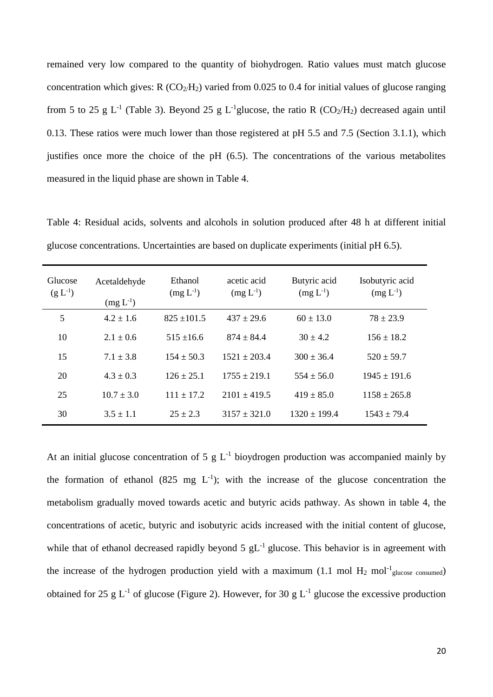remained very low compared to the quantity of biohydrogen. Ratio values must match glucose concentration which gives:  $R (CO<sub>2</sub>/H<sub>2</sub>)$  varied from 0.025 to 0.4 for initial values of glucose ranging from 5 to 25 g L<sup>-1</sup> (Table 3). Beyond 25 g L<sup>-1</sup>glucose, the ratio R (CO<sub>2</sub>/H<sub>2</sub>) decreased again until 0.13. These ratios were much lower than those registered at pH 5.5 and 7.5 (Section 3.1.1), which justifies once more the choice of the pH (6.5). The concentrations of the various metabolites measured in the liquid phase are shown in Table 4.

Table 4: Residual acids, solvents and alcohols in solution produced after 48 h at different initial glucose concentrations. Uncertainties are based on duplicate experiments (initial pH 6.5).

| Glucose<br>$(g L^{-1})$ | Acetaldehyde<br>$(mg L^{-1})$ | Ethanol<br>$(mg L^{-1})$ | acetic acid<br>$(mg L^{-1})$ | Butyric acid<br>$(mg L^{-1})$ | Isobutyric acid<br>$(mg L^{-1})$ |
|-------------------------|-------------------------------|--------------------------|------------------------------|-------------------------------|----------------------------------|
| 5                       | $4.2 \pm 1.6$                 | $825 \pm 101.5$          | $437 \pm 29.6$               | $60 \pm 13.0$                 | $78 \pm 23.9$                    |
| 10                      | $2.1 \pm 0.6$                 | $515 \pm 16.6$           | $874 \pm 84.4$               | $30 \pm 4.2$                  | $156 \pm 18.2$                   |
| 15                      | $7.1 \pm 3.8$                 | $154 \pm 50.3$           | $1521 \pm 203.4$             | $300 \pm 36.4$                | $520 \pm 59.7$                   |
| 20                      | $4.3 \pm 0.3$                 | $126 + 25.1$             | $1755 \pm 219.1$             | $554 \pm 56.0$                | $1945 \pm 191.6$                 |
| 25                      | $10.7 \pm 3.0$                | $111 + 17.2$             | $2101 \pm 419.5$             | $419 \pm 85.0$                | $1158 \pm 265.8$                 |
| 30                      | $3.5 \pm 1.1$                 | $25 \pm 2.3$             | $3157 \pm 321.0$             | $1320 \pm 199.4$              | $1543 \pm 79.4$                  |

At an initial glucose concentration of 5 g  $L^{-1}$  bioydrogen production was accompanied mainly by the formation of ethanol (825 mg  $L^{-1}$ ); with the increase of the glucose concentration the metabolism gradually moved towards acetic and butyric acids pathway. As shown in table 4, the concentrations of acetic, butyric and isobutyric acids increased with the initial content of glucose, while that of ethanol decreased rapidly beyond  $5 \text{ gL}^{-1}$  glucose. This behavior is in agreement with the increase of the hydrogen production yield with a maximum (1.1 mol  $H_2$  mol<sup>-1</sup> glucose consumed) obtained for 25 g  $L^{-1}$  of glucose (Figure 2). However, for 30 g  $L^{-1}$  glucose the excessive production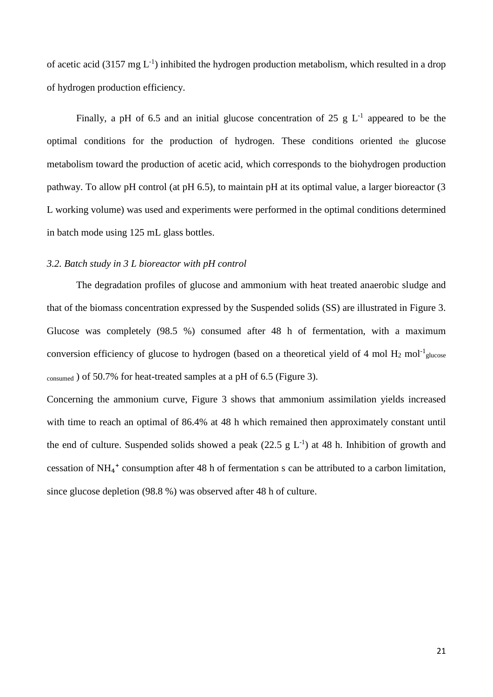of acetic acid (3157 mg  $L^{-1}$ ) inhibited the hydrogen production metabolism, which resulted in a drop of hydrogen production efficiency.

Finally, a pH of 6.5 and an initial glucose concentration of 25 g  $L^{-1}$  appeared to be the optimal conditions for the production of hydrogen. These conditions oriented the glucose metabolism toward the production of acetic acid, which corresponds to the biohydrogen production pathway. To allow pH control (at pH 6.5), to maintain pH at its optimal value, a larger bioreactor (3 L working volume) was used and experiments were performed in the optimal conditions determined in batch mode using 125 mL glass bottles.

#### *3.2. Batch study in 3 L bioreactor with pH control*

The degradation profiles of glucose and ammonium with heat treated anaerobic sludge and that of the biomass concentration expressed by the Suspended solids (SS) are illustrated in Figure 3. Glucose was completely (98.5 %) consumed after 48 h of fermentation, with a maximum conversion efficiency of glucose to hydrogen (based on a theoretical yield of 4 mol  $H_2$  mol<sup>-1</sup> glucose consumed ) of 50.7% for heat-treated samples at a pH of 6.5 (Figure 3).

Concerning the ammonium curve, Figure 3 shows that ammonium assimilation yields increased with time to reach an optimal of 86.4% at 48 h which remained then approximately constant until the end of culture. Suspended solids showed a peak  $(22.5 \text{ g } L^{-1})$  at 48 h. Inhibition of growth and cessation of  $NH_4$ <sup>+</sup> consumption after 48 h of fermentation s can be attributed to a carbon limitation, since glucose depletion (98.8 %) was observed after 48 h of culture.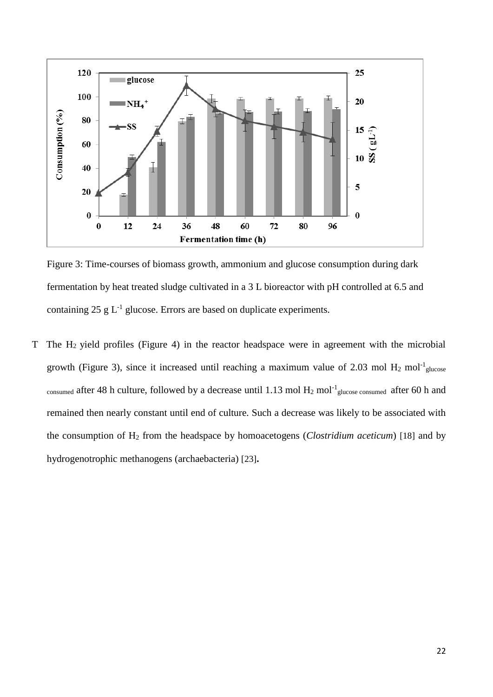

Figure 3: Time-courses of biomass growth, ammonium and glucose consumption during dark fermentation by heat treated sludge cultivated in a 3 L bioreactor with pH controlled at 6.5 and containing  $25 \text{ g L}^{-1}$  glucose. Errors are based on duplicate experiments.

T The H2 yield profiles (Figure 4) in the reactor headspace were in agreement with the microbial growth (Figure 3), since it increased until reaching a maximum value of 2.03 mol  $H_2$  mol<sup>-1</sup> glucose consumed after 48 h culture, followed by a decrease until 1.13 mol  $H_2$  mol<sup>-1</sup> glucose consumed after 60 h and remained then nearly constant until end of culture. Such a decrease was likely to be associated with the consumption of H<sup>2</sup> from the headspace by homoacetogens (*Clostridium aceticum*) [18] and by hydrogenotrophic methanogens (archaebacteria) [23]**.**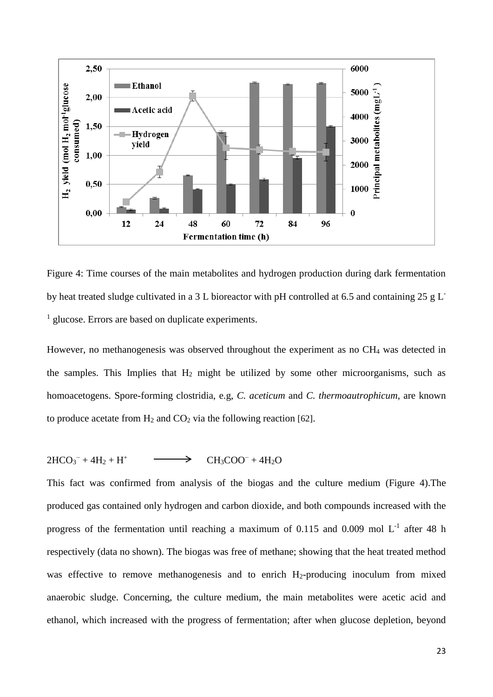

Figure 4: Time courses of the main metabolites and hydrogen production during dark fermentation by heat treated sludge cultivated in a 3 L bioreactor with pH controlled at 6.5 and containing 25 g L<sup>-</sup> <sup>1</sup> glucose. Errors are based on duplicate experiments.

However, no methanogenesis was observed throughout the experiment as no CH<sup>4</sup> was detected in the samples. This Implies that  $H_2$  might be utilized by some other microorganisms, such as homoacetogens. Spore-forming clostridia, e.g, *C. aceticum* and *C. thermoautrophicum*, are known to produce acetate from  $H_2$  and  $CO_2$  via the following reaction [62].

#### $2HCO_3^- + 4H_2 + H^+$  $CH<sub>3</sub>COO<sup>-</sup> + 4H<sub>2</sub>O$

This fact was confirmed from analysis of the biogas and the culture medium (Figure 4).The produced gas contained only hydrogen and carbon dioxide, and both compounds increased with the progress of the fermentation until reaching a maximum of 0.115 and 0.009 mol  $L^{-1}$  after 48 h respectively (data no shown). The biogas was free of methane; showing that the heat treated method was effective to remove methanogenesis and to enrich  $H_2$ -producing inoculum from mixed anaerobic sludge. Concerning, the culture medium, the main metabolites were acetic acid and ethanol, which increased with the progress of fermentation; after when glucose depletion, beyond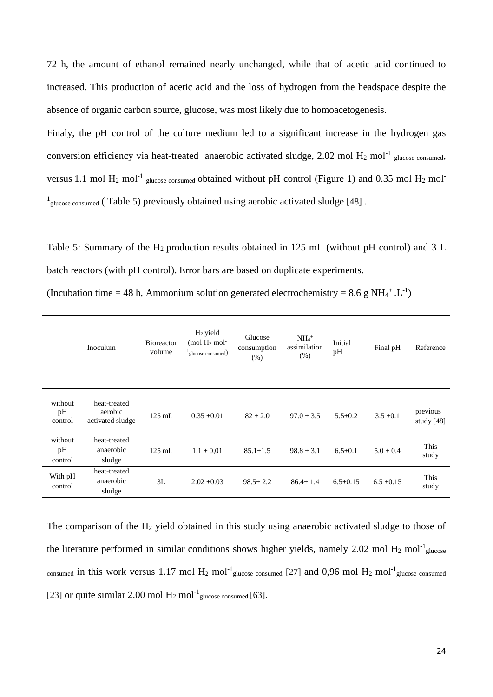72 h, the amount of ethanol remained nearly unchanged, while that of acetic acid continued to increased. This production of acetic acid and the loss of hydrogen from the headspace despite the absence of organic carbon source, glucose, was most likely due to homoacetogenesis.

Finaly, the pH control of the culture medium led to a significant increase in the hydrogen gas conversion efficiency via heat-treated anaerobic activated sludge, 2.02 mol  $H_2$  mol<sup>-1</sup> glucose consumed, versus 1.1 mol  $H_2$  mol<sup>-1</sup> glucose consumed obtained without pH control (Figure 1) and 0.35 mol  $H_2$  mol<sup>-1</sup> <sup>1</sup><sub>glucose consumed</sub> (Table 5) previously obtained using aerobic activated sludge [48].

Table 5: Summary of the  $H_2$  production results obtained in 125 mL (without pH control) and 3 L batch reactors (with pH control). Error bars are based on duplicate experiments.

|  | (Incubation time = 48 h, Ammonium solution generated electrochemistry = 8.6 g NH <sub>4</sub> <sup>+</sup> .L <sup>-1</sup> ) |  |
|--|-------------------------------------------------------------------------------------------------------------------------------|--|
|  |                                                                                                                               |  |

|                          | Inoculum                                    | <b>Bioreactor</b><br>volume | $H2$ yield<br>$(mod H2 mol-$<br>glucose consumed) | Glucose<br>consumption<br>(% ) | $NH_4$ <sup>+</sup><br>assimilation<br>(% ) | Initial<br>pH | Final pH       | Reference                |
|--------------------------|---------------------------------------------|-----------------------------|---------------------------------------------------|--------------------------------|---------------------------------------------|---------------|----------------|--------------------------|
| without<br>pH<br>control | heat-treated<br>aerobic<br>activated sludge | $125$ mL                    | $0.35 \pm 0.01$                                   | $82 \pm 2.0$                   | $97.0 \pm 3.5$                              | $5.5 \pm 0.2$ | $3.5 \pm 0.1$  | previous<br>study $[48]$ |
| without<br>pH<br>control | heat-treated<br>anaerobic<br>sludge         | $125$ mL                    | $1.1 \pm 0.01$                                    | $85.1 \pm 1.5$                 | $98.8 \pm 3.1$                              | $6.5 \pm 0.1$ | $5.0 \pm 0.4$  | This<br>study            |
| With pH<br>control       | heat-treated<br>anaerobic<br>sludge         | 3L                          | $2.02 \pm 0.03$                                   | $98.5 \pm 2.2$                 | $86.4 + 1.4$                                | $6.5+0.15$    | $6.5 \pm 0.15$ | This<br>study            |

The comparison of the  $H_2$  yield obtained in this study using anaerobic activated sludge to those of the literature performed in similar conditions shows higher yields, namely 2.02 mol  $H_2$  mol<sup>-1</sup> glucose consumed in this work versus 1.17 mol  $H_2$  mol<sup>-1</sup> glucose consumed [27] and 0,96 mol  $H_2$  mol<sup>-1</sup> glucose consumed [23] or quite similar 2.00 mol  $H_2$  mol<sup>-1</sup> glucose consumed [63].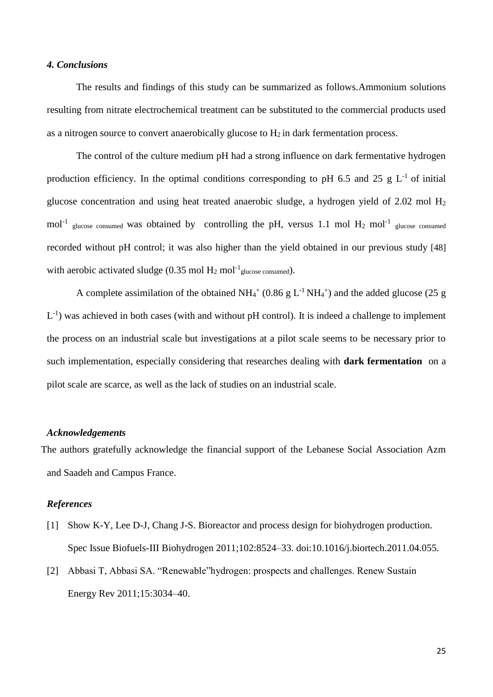#### *4. Conclusions*

The results and findings of this study can be summarized as follows.Ammonium solutions resulting from nitrate electrochemical treatment can be substituted to the commercial products used as a nitrogen source to convert anaerobically glucose to  $H_2$  in dark fermentation process.

The control of the culture medium pH had a strong influence on dark fermentative hydrogen production efficiency. In the optimal conditions corresponding to pH 6.5 and 25 g  $L^{-1}$  of initial glucose concentration and using heat treated anaerobic sludge, a hydrogen yield of 2.02 mol H<sup>2</sup>  $mol^{-1}$  glucose consumed was obtained by controlling the pH, versus 1.1 mol H<sub>2</sub> mol<sup>-1</sup> glucose consumed recorded without pH control; it was also higher than the yield obtained in our previous study [48] with aerobic activated sludge (0.35 mol  $H_2$  mol<sup>-1</sup> glucose consumed).

A complete assimilation of the obtained  $NH_4^+$  (0.86 g L<sup>-1</sup> NH<sub>4</sub><sup>+</sup>) and the added glucose (25 g  $L^{-1}$ ) was achieved in both cases (with and without pH control). It is indeed a challenge to implement the process on an industrial scale but investigations at a pilot scale seems to be necessary prior to such implementation, especially considering that researches dealing with **dark fermentation** on a pilot scale are scarce, as well as the lack of studies on an industrial scale.

#### *Acknowledgements*

The authors gratefully acknowledge the financial support of the Lebanese Social Association Azm and Saadeh and Campus France.

#### *References*

- [1] Show K-Y, Lee D-J, Chang J-S. Bioreactor and process design for biohydrogen production. Spec Issue Biofuels-III Biohydrogen 2011;102:8524–33. doi:10.1016/j.biortech.2011.04.055.
- [2] Abbasi T, Abbasi SA. "Renewable"hydrogen: prospects and challenges. Renew Sustain Energy Rev 2011;15:3034–40.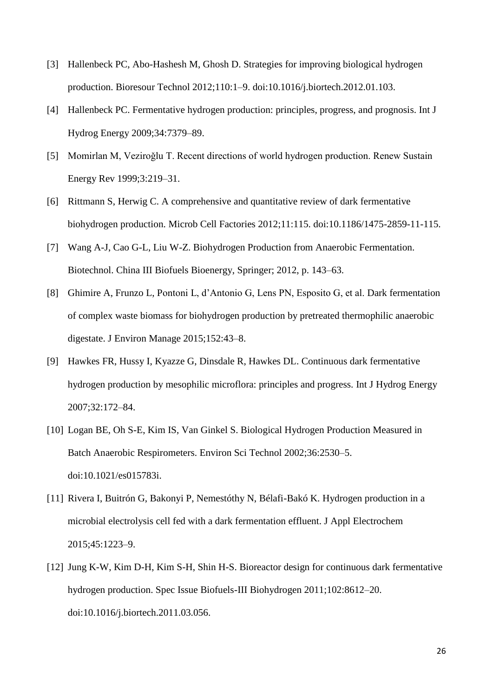- [3] Hallenbeck PC, Abo-Hashesh M, Ghosh D. Strategies for improving biological hydrogen production. Bioresour Technol 2012;110:1–9. doi:10.1016/j.biortech.2012.01.103.
- [4] Hallenbeck PC. Fermentative hydrogen production: principles, progress, and prognosis. Int J Hydrog Energy 2009;34:7379–89.
- [5] Momirlan M, Veziroğlu T. Recent directions of world hydrogen production. Renew Sustain Energy Rev 1999;3:219–31.
- [6] Rittmann S, Herwig C. A comprehensive and quantitative review of dark fermentative biohydrogen production. Microb Cell Factories 2012;11:115. doi:10.1186/1475-2859-11-115.
- [7] Wang A-J, Cao G-L, Liu W-Z. Biohydrogen Production from Anaerobic Fermentation. Biotechnol. China III Biofuels Bioenergy, Springer; 2012, p. 143–63.
- [8] Ghimire A, Frunzo L, Pontoni L, d'Antonio G, Lens PN, Esposito G, et al. Dark fermentation of complex waste biomass for biohydrogen production by pretreated thermophilic anaerobic digestate. J Environ Manage 2015;152:43–8.
- [9] Hawkes FR, Hussy I, Kyazze G, Dinsdale R, Hawkes DL. Continuous dark fermentative hydrogen production by mesophilic microflora: principles and progress. Int J Hydrog Energy 2007;32:172–84.
- [10] Logan BE, Oh S-E, Kim IS, Van Ginkel S. Biological Hydrogen Production Measured in Batch Anaerobic Respirometers. Environ Sci Technol 2002;36:2530–5. doi:10.1021/es015783i.
- [11] Rivera I, Buitrón G, Bakonyi P, Nemestóthy N, Bélafi-Bakó K. Hydrogen production in a microbial electrolysis cell fed with a dark fermentation effluent. J Appl Electrochem 2015;45:1223–9.
- [12] Jung K-W, Kim D-H, Kim S-H, Shin H-S. Bioreactor design for continuous dark fermentative hydrogen production. Spec Issue Biofuels-III Biohydrogen 2011;102:8612–20. doi:10.1016/j.biortech.2011.03.056.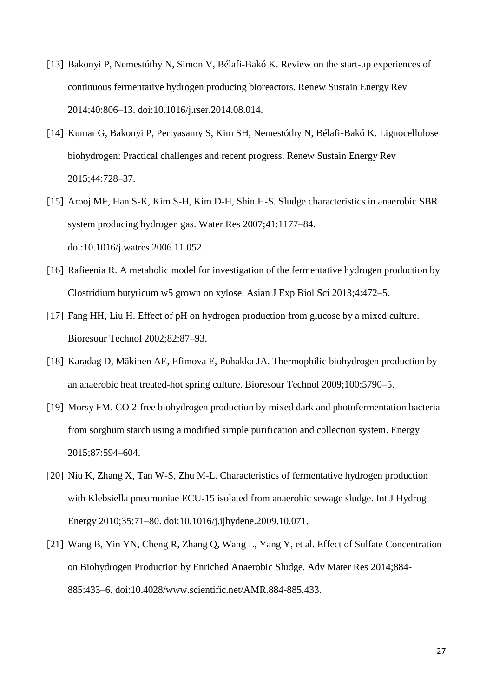- [13] Bakonyi P, Nemestóthy N, Simon V, Bélafi-Bakó K. Review on the start-up experiences of continuous fermentative hydrogen producing bioreactors. Renew Sustain Energy Rev 2014;40:806–13. doi:10.1016/j.rser.2014.08.014.
- [14] Kumar G, Bakonyi P, Periyasamy S, Kim SH, Nemestóthy N, Bélafi-Bakó K. Lignocellulose biohydrogen: Practical challenges and recent progress. Renew Sustain Energy Rev 2015;44:728–37.
- [15] Arooj MF, Han S-K, Kim S-H, Kim D-H, Shin H-S. Sludge characteristics in anaerobic SBR system producing hydrogen gas. Water Res 2007;41:1177–84. doi:10.1016/j.watres.2006.11.052.
- [16] Rafieenia R. A metabolic model for investigation of the fermentative hydrogen production by Clostridium butyricum w5 grown on xylose. Asian J Exp Biol Sci 2013;4:472–5.
- [17] Fang HH, Liu H. Effect of pH on hydrogen production from glucose by a mixed culture. Bioresour Technol 2002;82:87–93.
- [18] Karadag D, Mäkinen AE, Efimova E, Puhakka JA. Thermophilic biohydrogen production by an anaerobic heat treated-hot spring culture. Bioresour Technol 2009;100:5790–5.
- [19] Morsy FM. CO 2-free biohydrogen production by mixed dark and photofermentation bacteria from sorghum starch using a modified simple purification and collection system. Energy 2015;87:594–604.
- [20] Niu K, Zhang X, Tan W-S, Zhu M-L. Characteristics of fermentative hydrogen production with Klebsiella pneumoniae ECU-15 isolated from anaerobic sewage sludge. Int J Hydrog Energy 2010;35:71–80. doi:10.1016/j.ijhydene.2009.10.071.
- [21] Wang B, Yin YN, Cheng R, Zhang Q, Wang L, Yang Y, et al. Effect of Sulfate Concentration on Biohydrogen Production by Enriched Anaerobic Sludge. Adv Mater Res 2014;884- 885:433–6. doi:10.4028/www.scientific.net/AMR.884-885.433.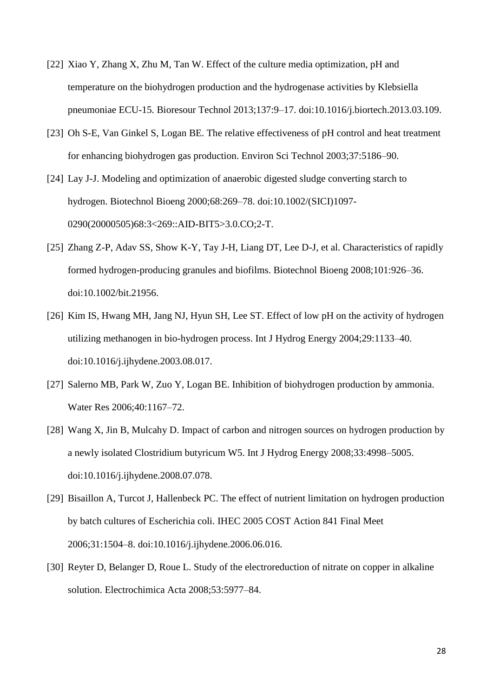- [22] Xiao Y, Zhang X, Zhu M, Tan W. Effect of the culture media optimization, pH and temperature on the biohydrogen production and the hydrogenase activities by Klebsiella pneumoniae ECU-15. Bioresour Technol 2013;137:9–17. doi:10.1016/j.biortech.2013.03.109.
- [23] Oh S-E, Van Ginkel S, Logan BE. The relative effectiveness of pH control and heat treatment for enhancing biohydrogen gas production. Environ Sci Technol 2003;37:5186–90.
- [24] Lay J-J. Modeling and optimization of anaerobic digested sludge converting starch to hydrogen. Biotechnol Bioeng 2000;68:269–78. doi:10.1002/(SICI)1097- 0290(20000505)68:3<269::AID-BIT5>3.0.CO;2-T.
- [25] Zhang Z-P, Adav SS, Show K-Y, Tay J-H, Liang DT, Lee D-J, et al. Characteristics of rapidly formed hydrogen-producing granules and biofilms. Biotechnol Bioeng 2008;101:926–36. doi:10.1002/bit.21956.
- [26] Kim IS, Hwang MH, Jang NJ, Hyun SH, Lee ST. Effect of low pH on the activity of hydrogen utilizing methanogen in bio-hydrogen process. Int J Hydrog Energy 2004;29:1133–40. doi:10.1016/j.ijhydene.2003.08.017.
- [27] Salerno MB, Park W, Zuo Y, Logan BE. Inhibition of biohydrogen production by ammonia. Water Res 2006;40:1167–72.
- [28] Wang X, Jin B, Mulcahy D. Impact of carbon and nitrogen sources on hydrogen production by a newly isolated Clostridium butyricum W5. Int J Hydrog Energy 2008;33:4998–5005. doi:10.1016/j.ijhydene.2008.07.078.
- [29] Bisaillon A, Turcot J, Hallenbeck PC. The effect of nutrient limitation on hydrogen production by batch cultures of Escherichia coli. IHEC 2005 COST Action 841 Final Meet 2006;31:1504–8. doi:10.1016/j.ijhydene.2006.06.016.
- [30] Reyter D, Belanger D, Roue L. Study of the electroreduction of nitrate on copper in alkaline solution. Electrochimica Acta 2008;53:5977–84.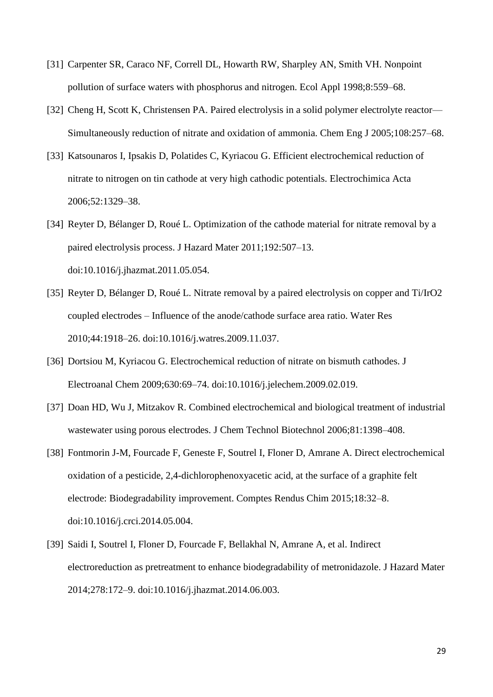- [31] Carpenter SR, Caraco NF, Correll DL, Howarth RW, Sharpley AN, Smith VH. Nonpoint pollution of surface waters with phosphorus and nitrogen. Ecol Appl 1998;8:559–68.
- [32] Cheng H, Scott K, Christensen PA. Paired electrolysis in a solid polymer electrolyte reactor— Simultaneously reduction of nitrate and oxidation of ammonia. Chem Eng J 2005;108:257–68.
- [33] Katsounaros I, Ipsakis D, Polatides C, Kyriacou G. Efficient electrochemical reduction of nitrate to nitrogen on tin cathode at very high cathodic potentials. Electrochimica Acta 2006;52:1329–38.
- [34] Reyter D, Bélanger D, Roué L. Optimization of the cathode material for nitrate removal by a paired electrolysis process. J Hazard Mater 2011;192:507–13. doi:10.1016/j.jhazmat.2011.05.054.
- [35] Reyter D, Bélanger D, Roué L. Nitrate removal by a paired electrolysis on copper and Ti/IrO2 coupled electrodes – Influence of the anode/cathode surface area ratio. Water Res 2010;44:1918–26. doi:10.1016/j.watres.2009.11.037.
- [36] Dortsiou M, Kyriacou G. Electrochemical reduction of nitrate on bismuth cathodes. J Electroanal Chem 2009;630:69–74. doi:10.1016/j.jelechem.2009.02.019.
- [37] Doan HD, Wu J, Mitzakov R. Combined electrochemical and biological treatment of industrial wastewater using porous electrodes. J Chem Technol Biotechnol 2006;81:1398–408.
- [38] Fontmorin J-M, Fourcade F, Geneste F, Soutrel I, Floner D, Amrane A. Direct electrochemical oxidation of a pesticide, 2,4-dichlorophenoxyacetic acid, at the surface of a graphite felt electrode: Biodegradability improvement. Comptes Rendus Chim 2015;18:32–8. doi:10.1016/j.crci.2014.05.004.
- [39] Saidi I, Soutrel I, Floner D, Fourcade F, Bellakhal N, Amrane A, et al. Indirect electroreduction as pretreatment to enhance biodegradability of metronidazole. J Hazard Mater 2014;278:172–9. doi:10.1016/j.jhazmat.2014.06.003.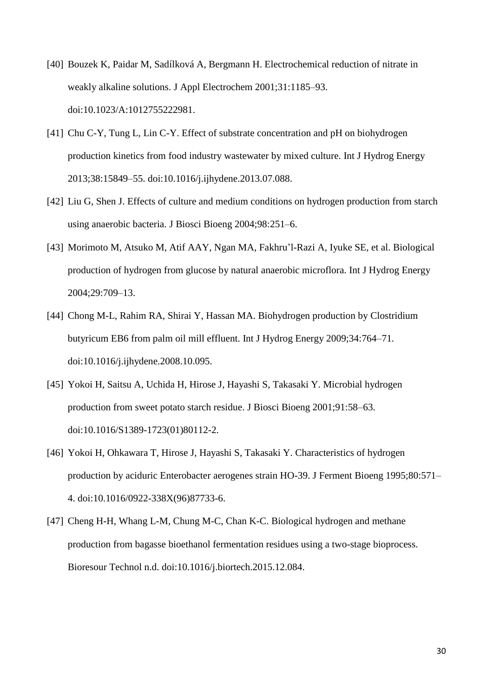- [40] Bouzek K, Paidar M, Sadílková A, Bergmann H. Electrochemical reduction of nitrate in weakly alkaline solutions. J Appl Electrochem 2001;31:1185–93. doi:10.1023/A:1012755222981.
- [41] Chu C-Y, Tung L, Lin C-Y. Effect of substrate concentration and pH on biohydrogen production kinetics from food industry wastewater by mixed culture. Int J Hydrog Energy 2013;38:15849–55. doi:10.1016/j.ijhydene.2013.07.088.
- [42] Liu G, Shen J. Effects of culture and medium conditions on hydrogen production from starch using anaerobic bacteria. J Biosci Bioeng 2004;98:251–6.
- [43] Morimoto M, Atsuko M, Atif AAY, Ngan MA, Fakhru'l-Razi A, Iyuke SE, et al. Biological production of hydrogen from glucose by natural anaerobic microflora. Int J Hydrog Energy 2004;29:709–13.
- [44] Chong M-L, Rahim RA, Shirai Y, Hassan MA. Biohydrogen production by Clostridium butyricum EB6 from palm oil mill effluent. Int J Hydrog Energy 2009;34:764–71. doi:10.1016/j.ijhydene.2008.10.095.
- [45] Yokoi H, Saitsu A, Uchida H, Hirose J, Hayashi S, Takasaki Y. Microbial hydrogen production from sweet potato starch residue. J Biosci Bioeng 2001;91:58–63. doi:10.1016/S1389-1723(01)80112-2.
- [46] Yokoi H, Ohkawara T, Hirose J, Hayashi S, Takasaki Y. Characteristics of hydrogen production by aciduric Enterobacter aerogenes strain HO-39. J Ferment Bioeng 1995;80:571– 4. doi:10.1016/0922-338X(96)87733-6.
- [47] Cheng H-H, Whang L-M, Chung M-C, Chan K-C. Biological hydrogen and methane production from bagasse bioethanol fermentation residues using a two-stage bioprocess. Bioresour Technol n.d. doi:10.1016/j.biortech.2015.12.084.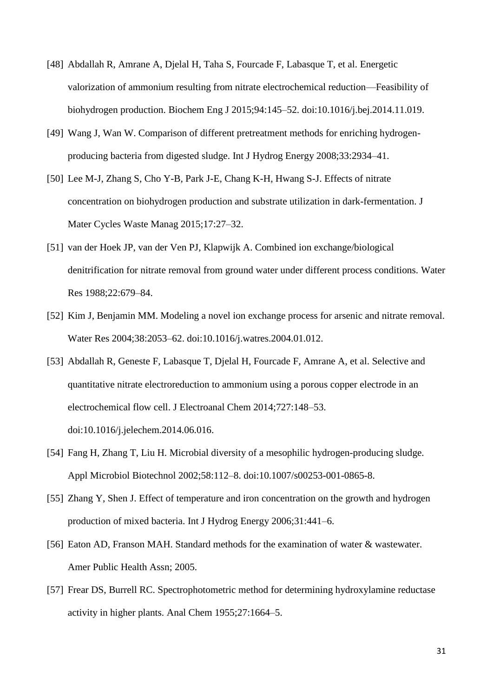- [48] Abdallah R, Amrane A, Djelal H, Taha S, Fourcade F, Labasque T, et al. Energetic valorization of ammonium resulting from nitrate electrochemical reduction—Feasibility of biohydrogen production. Biochem Eng J 2015;94:145–52. doi:10.1016/j.bej.2014.11.019.
- [49] Wang J, Wan W. Comparison of different pretreatment methods for enriching hydrogenproducing bacteria from digested sludge. Int J Hydrog Energy 2008;33:2934–41.
- [50] Lee M-J, Zhang S, Cho Y-B, Park J-E, Chang K-H, Hwang S-J. Effects of nitrate concentration on biohydrogen production and substrate utilization in dark-fermentation. J Mater Cycles Waste Manag 2015;17:27–32.
- [51] van der Hoek JP, van der Ven PJ, Klapwijk A. Combined ion exchange/biological denitrification for nitrate removal from ground water under different process conditions. Water Res 1988;22:679–84.
- [52] Kim J, Benjamin MM. Modeling a novel ion exchange process for arsenic and nitrate removal. Water Res 2004;38:2053–62. doi:10.1016/j.watres.2004.01.012.
- [53] Abdallah R, Geneste F, Labasque T, Djelal H, Fourcade F, Amrane A, et al. Selective and quantitative nitrate electroreduction to ammonium using a porous copper electrode in an electrochemical flow cell. J Electroanal Chem 2014;727:148–53. doi:10.1016/j.jelechem.2014.06.016.
- [54] Fang H, Zhang T, Liu H. Microbial diversity of a mesophilic hydrogen-producing sludge. Appl Microbiol Biotechnol 2002;58:112–8. doi:10.1007/s00253-001-0865-8.
- [55] Zhang Y, Shen J. Effect of temperature and iron concentration on the growth and hydrogen production of mixed bacteria. Int J Hydrog Energy 2006;31:441–6.
- [56] Eaton AD, Franson MAH. Standard methods for the examination of water & wastewater. Amer Public Health Assn; 2005.
- [57] Frear DS, Burrell RC. Spectrophotometric method for determining hydroxylamine reductase activity in higher plants. Anal Chem 1955;27:1664–5.